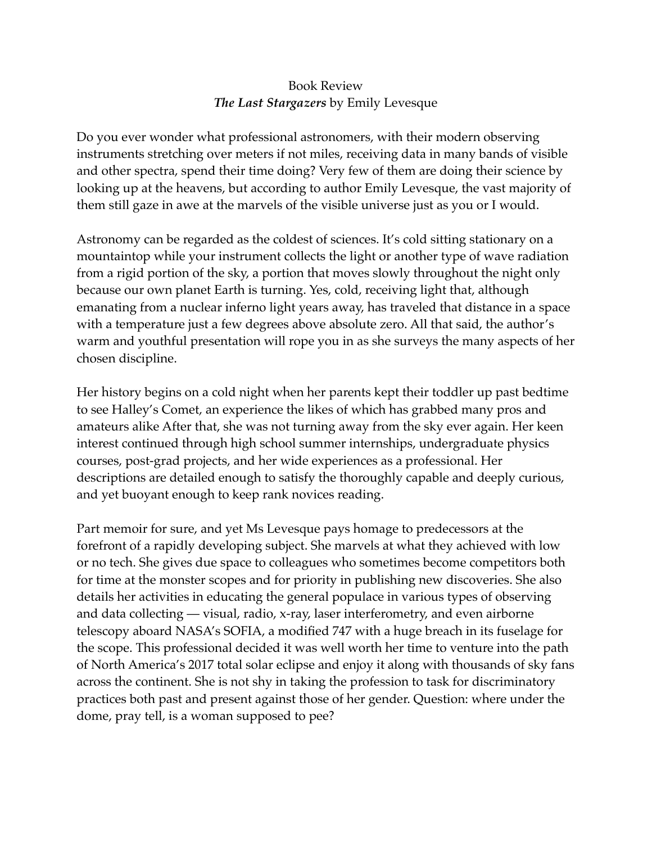## Book Review *The Last Stargazers* by Emily Levesque

Do you ever wonder what professional astronomers, with their modern observing instruments stretching over meters if not miles, receiving data in many bands of visible and other spectra, spend their time doing? Very few of them are doing their science by looking up at the heavens, but according to author Emily Levesque, the vast majority of them still gaze in awe at the marvels of the visible universe just as you or I would.

Astronomy can be regarded as the coldest of sciences. It's cold sitting stationary on a mountaintop while your instrument collects the light or another type of wave radiation from a rigid portion of the sky, a portion that moves slowly throughout the night only because our own planet Earth is turning. Yes, cold, receiving light that, although emanating from a nuclear inferno light years away, has traveled that distance in a space with a temperature just a few degrees above absolute zero. All that said, the author's warm and youthful presentation will rope you in as she surveys the many aspects of her chosen discipline.

Her history begins on a cold night when her parents kept their toddler up past bedtime to see Halley's Comet, an experience the likes of which has grabbed many pros and amateurs alike After that, she was not turning away from the sky ever again. Her keen interest continued through high school summer internships, undergraduate physics courses, post-grad projects, and her wide experiences as a professional. Her descriptions are detailed enough to satisfy the thoroughly capable and deeply curious, and yet buoyant enough to keep rank novices reading.

Part memoir for sure, and yet Ms Levesque pays homage to predecessors at the forefront of a rapidly developing subject. She marvels at what they achieved with low or no tech. She gives due space to colleagues who sometimes become competitors both for time at the monster scopes and for priority in publishing new discoveries. She also details her activities in educating the general populace in various types of observing and data collecting — visual, radio, x-ray, laser interferometry, and even airborne telescopy aboard NASA's SOFIA, a modified 747 with a huge breach in its fuselage for the scope. This professional decided it was well worth her time to venture into the path of North America's 2017 total solar eclipse and enjoy it along with thousands of sky fans across the continent. She is not shy in taking the profession to task for discriminatory practices both past and present against those of her gender. Question: where under the dome, pray tell, is a woman supposed to pee?